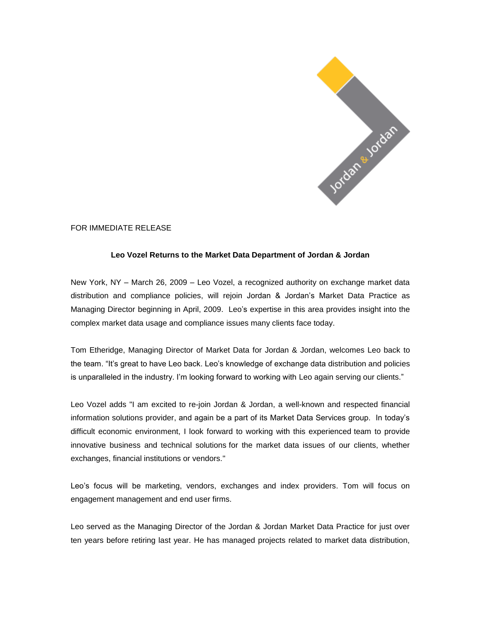

FOR IMMEDIATE RELEASE

## **Leo Vozel Returns to the Market Data Department of Jordan & Jordan**

New York, NY – March 26, 2009 – Leo Vozel, a recognized authority on exchange market data distribution and compliance policies, will rejoin Jordan & Jordan's Market Data Practice as Managing Director beginning in April, 2009. Leo's expertise in this area provides insight into the complex market data usage and compliance issues many clients face today.

Tom Etheridge, Managing Director of Market Data for Jordan & Jordan, welcomes Leo back to the team. "It's great to have Leo back. Leo's knowledge of exchange data distribution and policies is unparalleled in the industry. I'm looking forward to working with Leo again serving our clients."

Leo Vozel adds "I am excited to re-join Jordan & Jordan, a well-known and respected financial information solutions provider, and again be a part of its Market Data Services group. In today's difficult economic environment, I look forward to working with this experienced team to provide innovative business and technical solutions for the market data issues of our clients, whether exchanges, financial institutions or vendors."

Leo's focus will be marketing, vendors, exchanges and index providers. Tom will focus on engagement management and end user firms.

Leo served as the Managing Director of the Jordan & Jordan Market Data Practice for just over ten years before retiring last year. He has managed projects related to market data distribution,